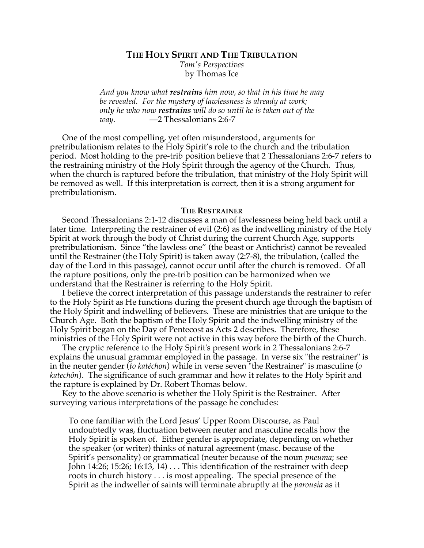**THE HOLY SPIRIT AND THE TRIBULATION**

*Tom's Perspectives* by Thomas Ice

*And you know what restrains him now, so that in his time he may be revealed. For the mystery of lawlessness is already at work; only he who now restrains will do so until he is taken out of the way.* —2 Thessalonians 2:6-7

One of the most compelling, yet often misunderstood, arguments for pretribulationism relates to the Holy Spirit's role to the church and the tribulation period. Most holding to the pre-trib position believe that 2 Thessalonians 2:6-7 refers to the restraining ministry of the Holy Spirit through the agency of the Church. Thus, when the church is raptured before the tribulation, that ministry of the Holy Spirit will be removed as well. If this interpretation is correct, then it is a strong argument for pretribulationism.

## **THE RESTRAINER**

Second Thessalonians 2:1-12 discusses a man of lawlessness being held back until a later time. Interpreting the restrainer of evil (2:6) as the indwelling ministry of the Holy Spirit at work through the body of Christ during the current Church Age, supports pretribulationism. Since "the lawless one" (the beast or Antichrist) cannot be revealed until the Restrainer (the Holy Spirit) is taken away (2:7-8), the tribulation, (called the day of the Lord in this passage), cannot occur until after the church is removed. Of all the rapture positions, only the pre-trib position can be harmonized when we understand that the Restrainer is referring to the Holy Spirit.

I believe the correct interpretation of this passage understands the restrainer to refer to the Holy Spirit as He functions during the present church age through the baptism of the Holy Spirit and indwelling of believers. These are ministries that are unique to the Church Age. Both the baptism of the Holy Spirit and the indwelling ministry of the Holy Spirit began on the Day of Pentecost as Acts 2 describes. Therefore, these ministries of the Holy Spirit were not active in this way before the birth of the Church.

The cryptic reference to the Holy Spirit's present work in 2 Thessalonians 2:6-7 explains the unusual grammar employed in the passage. In verse six "the restrainer" is in the neuter gender (*to katéchon*) while in verse seven "the Restrainer" is masculine (*o katechôn*). The significance of such grammar and how it relates to the Holy Spirit and the rapture is explained by Dr. Robert Thomas below.

Key to the above scenario is whether the Holy Spirit is the Restrainer. After surveying various interpretations of the passage he concludes:

To one familiar with the Lord Jesus' Upper Room Discourse, as Paul undoubtedly was, fluctuation between neuter and masculine recalls how the Holy Spirit is spoken of. Either gender is appropriate, depending on whether the speaker (or writer) thinks of natural agreement (masc. because of the Spirit's personality) or grammatical (neuter because of the noun *pneuma*; see John 14:26; 15:26; 16:13, 14) . . . This identification of the restrainer with deep roots in church history . . . is most appealing. The special presence of the Spirit as the indweller of saints will terminate abruptly at the *parousia* as it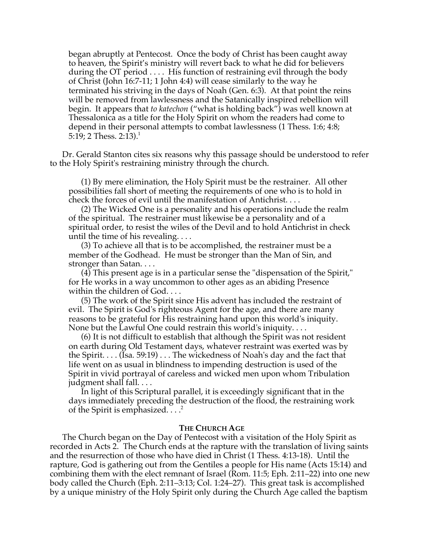began abruptly at Pentecost. Once the body of Christ has been caught away to heaven, the Spirit's ministry will revert back to what he did for believers during the OT period  $\dots$ . His function of restraining evil through the body of Christ (John 16:7-11; 1 John 4:4) will cease similarly to the way he terminated his striving in the days of Noah (Gen. 6:3). At that point the reins will be removed from lawlessness and the Satanically inspired rebellion will begin. It appears that *to katechon* ("what is holding back") was well known at Thessalonica as a title for the Holy Spirit on whom the readers had come to depend in their personal attempts to combat lawlessness (1 Thess. 1:6; 4:8; 5:19; 2 Thess. 2:13).<sup>1</sup>

Dr. Gerald Stanton cites six reasons why this passage should be understood to refer to the Holy Spirit's restraining ministry through the church.

(1) By mere elimination, the Holy Spirit must be the restrainer. All other possibilities fall short of meeting the requirements of one who is to hold in check the forces of evil until the manifestation of Antichrist. . . .

(2) The Wicked One is a personality and his operations include the realm of the spiritual. The restrainer must likewise be a personality and of a spiritual order, to resist the wiles of the Devil and to hold Antichrist in check until the time of his revealing.  $\dots$ 

(3) To achieve all that is to be accomplished, the restrainer must be a member of the Godhead. He must be stronger than the Man of Sin, and stronger than Satan. . . .

(4) This present age is in a particular sense the "dispensation of the Spirit," for He works in a way uncommon to other ages as an abiding Presence within the children of God. . . .

(5) The work of the Spirit since His advent has included the restraint of evil. The Spirit is God's righteous Agent for the age, and there are many reasons to be grateful for His restraining hand upon this world's iniquity. None but the Lawful One could restrain this world's iniquity. . . .

(6) It is not difficult to establish that although the Spirit was not resident on earth during Old Testament days, whatever restraint was exerted was by the Spirit. . . . (Isa. 59:19) . . . The wickedness of Noah's day and the fact that life went on as usual in blindness to impending destruction is used of the Spirit in vivid portrayal of careless and wicked men upon whom Tribulation judgment shall fall. . . .

In light of this Scriptural parallel, it is exceedingly significant that in the days immediately preceding the destruction of the flood, the restraining work of the Spirit is emphasized.  $\dots$ <sup>2</sup>

## **THE CHURCH AGE**

The Church began on the Day of Pentecost with a visitation of the Holy Spirit as recorded in Acts 2. The Church ends at the rapture with the translation of living saints and the resurrection of those who have died in Christ (1 Thess. 4:13-18). Until the rapture, God is gathering out from the Gentiles a people for His name (Acts 15:14) and combining them with the elect remnant of Israel (Rom. 11:5; Eph. 2:11–22) into one new body called the Church (Eph. 2:11–3:13; Col. 1:24–27). This great task is accomplished by a unique ministry of the Holy Spirit only during the Church Age called the baptism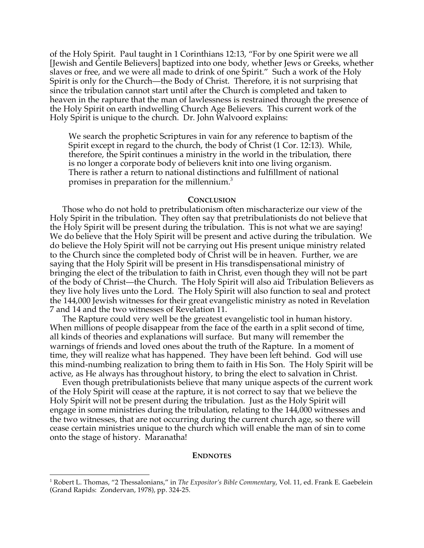of the Holy Spirit. Paul taught in 1 Corinthians 12:13, "For by one Spirit were we all [Jewish and Gentile Believers] baptized into one body, whether Jews or Greeks, whether slaves or free, and we were all made to drink of one Spirit." Such a work of the Holy Spirit is only for the Church—the Body of Christ. Therefore, it is not surprising that since the tribulation cannot start until after the Church is completed and taken to heaven in the rapture that the man of lawlessness is restrained through the presence of the Holy Spirit on earth indwelling Church Age Believers. This current work of the Holy Spirit is unique to the church. Dr. John Walvoord explains:

We search the prophetic Scriptures in vain for any reference to baptism of the Spirit except in regard to the church, the body of Christ (1 Cor. 12:13). While, therefore, the Spirit continues a ministry in the world in the tribulation, there is no longer a corporate body of believers knit into one living organism. There is rather a return to national distinctions and fulfillment of national promises in preparation for the millennium.3

## **CONCLUSION**

Those who do not hold to pretribulationism often mischaracterize our view of the Holy Spirit in the tribulation. They often say that pretribulationists do not believe that the Holy Spirit will be present during the tribulation. This is not what we are saying! We do believe that the Holy Spirit will be present and active during the tribulation. We do believe the Holy Spirit will not be carrying out His present unique ministry related to the Church since the completed body of Christ will be in heaven. Further, we are saying that the Holy Spirit will be present in His transdispensational ministry of bringing the elect of the tribulation to faith in Christ, even though they will not be part of the body of Christ—the Church. The Holy Spirit will also aid Tribulation Believers as they live holy lives unto the Lord. The Holy Spirit will also function to seal and protect the 144,000 Jewish witnesses for their great evangelistic ministry as noted in Revelation 7 and 14 and the two witnesses of Revelation 11.

The Rapture could very well be the greatest evangelistic tool in human history. When millions of people disappear from the face of the earth in a split second of time, all kinds of theories and explanations will surface. But many will remember the warnings of friends and loved ones about the truth of the Rapture. In a moment of time, they will realize what has happened. They have been left behind. God will use this mind-numbing realization to bring them to faith in His Son. The Holy Spirit will be active, as He always has throughout history, to bring the elect to salvation in Christ.

Even though pretribulationists believe that many unique aspects of the current work of the Holy Spirit will cease at the rapture, it is not correct to say that we believe the Holy Spirit will not be present during the tribulation. Just as the Holy Spirit will engage in some ministries during the tribulation, relating to the 144,000 witnesses and the two witnesses, that are not occurring during the current church age, so there will cease certain ministries unique to the church which will enable the man of sin to come onto the stage of history. Maranatha!

## **ENDNOTES**

 $\frac{1}{1}$ <sup>1</sup> Robert L. Thomas, "2 Thessalonians," in *The Expositor's Bible Commentary*, Vol. 11, ed. Frank E. Gaebelein (Grand Rapids: Zondervan, 1978), pp. 324-25.